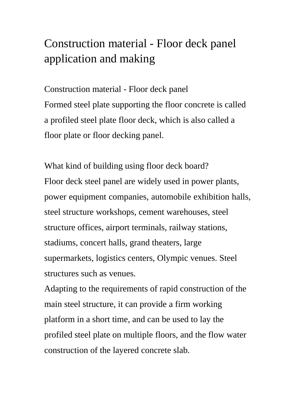# Construction material - Floor deck panel application and making

Construction material - Floor deck panel Formed steel plate supporting the floor concrete is called a profiled steel plate floor deck, which is also called a floor plate or floor decking panel.

What kind of building using floor deck board? Floor deck steel panel are widely used in power plants, power equipment companies, automobile exhibition halls, steel structure workshops, cement warehouses, steel structure offices, airport terminals, railway stations, stadiums, concert halls, grand theaters, large supermarkets, logistics centers, Olympic venues. Steel structures such as venues.

Adapting to the requirements of rapid construction of the main steel structure, it can provide a firm working platform in a short time, and can be used to lay the profiled steel plate on multiple floors, and the flow water construction of the layered concrete slab.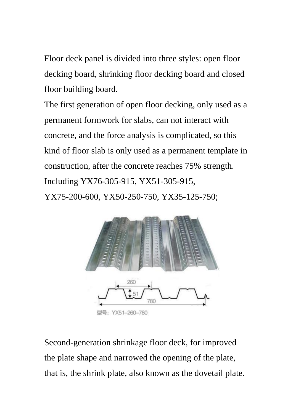Floor deck panel is divided into three styles: open floor decking board, shrinking floor decking board and closed floor building board.

The first generation of open floor decking, only used as a permanent formwork for slabs, can not interact with concrete, and the force analysis is complicated, so this kind of floor slab is only used as a permanent template in construction, after the concrete reaches 75% strength. Including YX76-305-915, YX51-305-915, YX75-200-600, YX50-250-750, YX35-125-750;



Second-generation shrinkage floor deck, for improved the plate shape and narrowed the opening of the plate, that is, the shrink plate, also known as the dovetail plate.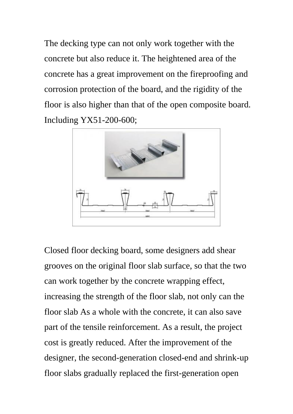The decking type can not only work together with the concrete but also reduce it. The heightened area of the concrete has a great improvement on the fireproofing and corrosion protection of the board, and the rigidity of the floor is also higher than that of the open composite board. Including YX51-200-600;



Closed floor decking board, some designers add shear grooves on the original floor slab surface, so that the two can work together by the concrete wrapping effect, increasing the strength of the floor slab, not only can the floor slab As a whole with the concrete, it can also save part of the tensile reinforcement. As a result, the project cost is greatly reduced. After the improvement of the designer, the second-generation closed-end and shrink-up floor slabs gradually replaced the first-generation open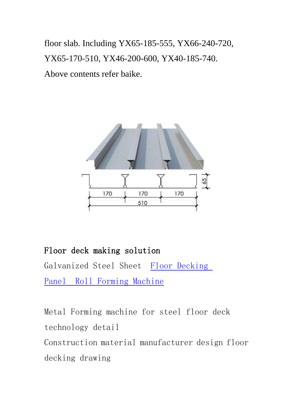floor slab. Including YX65-185-555, YX66-240-720, YX65-170-510, YX46-200-600, YX40-185-740. Above contents refer baike.



#### Floor deck making solution

Galvanized Steel Sheet [Floor Decking](https://www.superdamc.com/construction-material-roll-forming-machine/floor-decking-roll-forming-machine.html)  Panel [Roll Forming Machine](https://www.superdamc.com/construction-material-roll-forming-machine/floor-decking-roll-forming-machine.html)

Metal Forming machine for steel floor deck technology detail Construction material manufacturer design floor decking drawing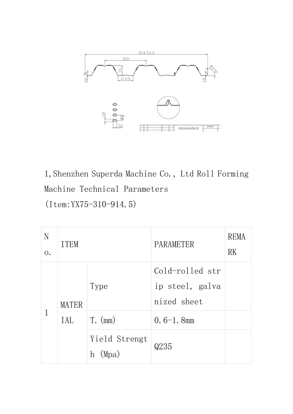

1,Shenzhen Superda Machine Co., Ltd Roll Forming Machine Technical Parameters (Item:YX75-310-914.5)

| N<br>0. | <b>ITEM</b>         |                             | PARAMETER                                         | REMA<br>RK |
|---------|---------------------|-----------------------------|---------------------------------------------------|------------|
|         | <b>MATER</b><br>IAL | Type                        | Cold-rolled str<br>ip steel, galva<br>nized sheet |            |
|         |                     | $T.$ (mm)                   | $0.6-1.8$ mm                                      |            |
|         |                     | Yield Strengt<br>(Mpa)<br>h | Q235                                              |            |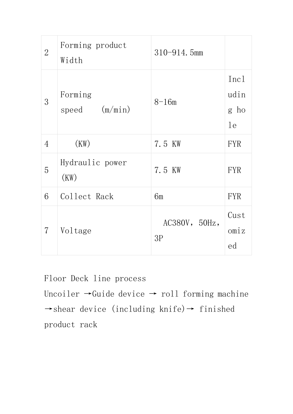| $\overline{2}$ | Forming product<br>Width   | $310 - 914.5$ mm    |                            |
|----------------|----------------------------|---------------------|----------------------------|
| 3              | Forming<br>speed $(m/min)$ | $8 - 16m$           | Inc1<br>udin<br>g ho<br>1e |
| $\overline{4}$ | (KW)                       | 7.5 KW              | <b>FYR</b>                 |
| 5              | Hydraulic power<br>(KW)    | 7.5 KW              | <b>FYR</b>                 |
| 6              | Collect Rack               | 6m                  | <b>FYR</b>                 |
| $\overline{7}$ | Voltage                    | AC380V, 50Hz,<br>3P | Cust<br>omiz<br>ed         |

Floor Deck line process

Uncoiler  $\rightarrow$ Guide device  $\rightarrow$  roll forming machine  $→$ shear device (including knife) $→$  finished product rack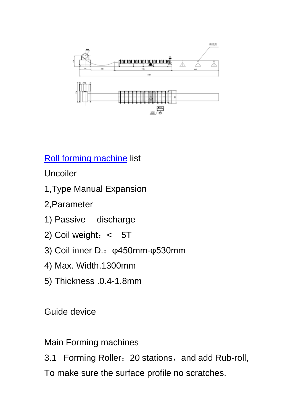

[Roll forming machine](http://www.superdamachine.com/index.html) list

Uncoiler

- 1,Type Manual Expansion
- 2,Parameter
- 1) Passive discharge
- 2) Coil weight:< 5T
- 3) Coil inner D.:φ450mm-φ530mm
- 4) Max. Width.1300mm
- 5) Thickness .0.4-1.8mm

Guide device

Main Forming machines

3.1 Forming Roller: 20 stations, and add Rub-roll, To make sure the surface profile no scratches.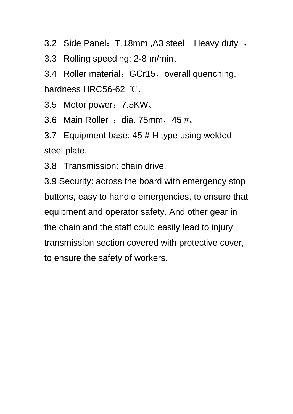3.2 Side Panel: T.18mm, A3 steel Heavy duty .

3.3 Rolling speeding: 2-8 m/min。

3.4 Roller material: GCr15, overall quenching, hardness HRC56-62 ℃.

3.5 Motor power: 7.5KW.

3.6 Main Roller : dia. 75mm,  $45 \text{ }\text{\#}$ .

3.7 Equipment base: 45 # H type using welded steel plate.

3.8 Transmission: chain drive.

3.9 Security: across the board with emergency stop buttons, easy to handle emergencies, to ensure that equipment and operator safety. And other gear in the chain and the staff could easily lead to injury transmission section covered with protective cover, to ensure the safety of workers.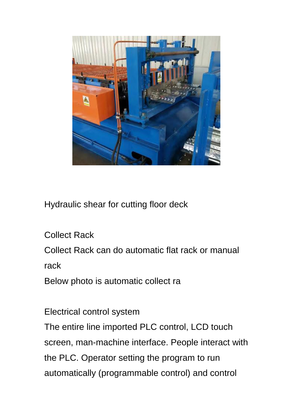

Hydraulic shear for cutting floor deck

Collect Rack

Collect Rack can do automatic flat rack or manual

rack

Below photo is automatic collect ra

Electrical control system

The entire line imported PLC control, LCD touch screen, man-machine interface. People interact with the PLC. Operator setting the program to run automatically (programmable control) and control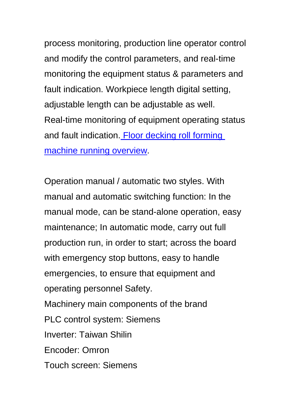process monitoring, production line operator control and modify the control parameters, and real-time monitoring the equipment status & parameters and fault indication. Workpiece length digital setting, adjustable length can be adjustable as well. Real-time monitoring of equipment operating status and fault indication. Floor decking roll forming [machine running overview.](https://www.youtube.com/watch?v=U5JMSzSINIM&feature=youtu.be)

Operation manual / automatic two styles. With manual and automatic switching function: In the manual mode, can be stand-alone operation, easy maintenance; In automatic mode, carry out full production run, in order to start; across the board with emergency stop buttons, easy to handle emergencies, to ensure that equipment and operating personnel Safety. Machinery main components of the brand PLC control system: Siemens Inverter: Taiwan Shilin Encoder: Omron Touch screen: Siemens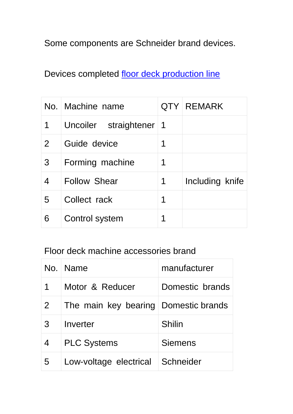### Some components are Schneider brand devices.

## Devices completed [floor deck production line](https://www.superdamc.com/cabinet-box-forming-machine/electrical-cabinet-frame-roll-forming-machine.html)

|                | No. Machine name      |    | QTY REMARK      |
|----------------|-----------------------|----|-----------------|
| 1              | Uncoiler straightener | -1 |                 |
| $\overline{2}$ | Guide device          | 1  |                 |
| 3              | Forming machine       | 1  |                 |
| $\overline{4}$ | <b>Follow Shear</b>   | 1  | Including knife |
| 5              | Collect rack          | 1  |                 |
| 6              | Control system        | 1  |                 |

#### Floor deck machine accessories brand

|   | No.   Name             | manufacturer    |
|---|------------------------|-----------------|
| 1 | Motor & Reducer        | Domestic brands |
| 2 | The main key bearing   | Domestic brands |
| 3 | Inverter               | Shilin          |
| 4 | <b>PLC Systems</b>     | <b>Siemens</b>  |
| 5 | Low-voltage electrical | Schneider       |